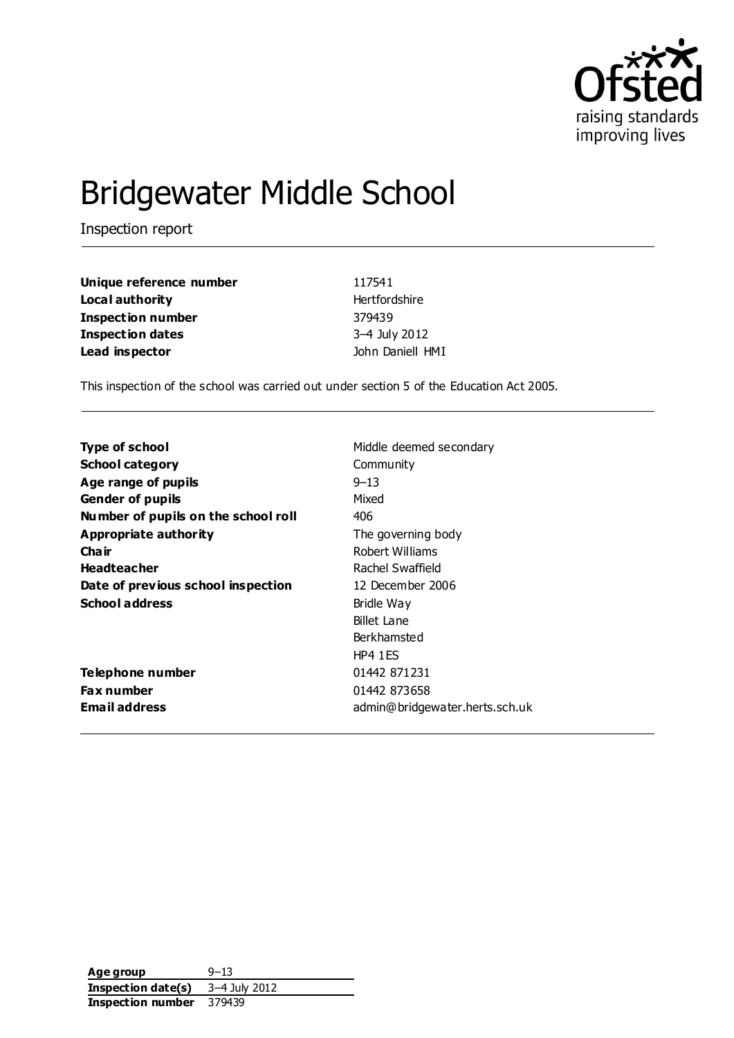

# Bridgewater Middle School

Inspection report

| Unique reference number | 117541           |
|-------------------------|------------------|
| Local authority         | Hertfordshire    |
| Inspection number       | 379439           |
| Inspection dates        | 3-4 July 2012    |
| Lead inspector          | John Daniell HMI |

This inspection of the school was carried out under section 5 of the Education Act 2005.

| <b>Type of school</b>               | Middle deemed secondary        |
|-------------------------------------|--------------------------------|
| <b>School category</b>              | Community                      |
| Age range of pupils                 | $9 - 13$                       |
| <b>Gender of pupils</b>             | Mixed                          |
| Number of pupils on the school roll | 406                            |
| Appropriate authority               | The governing body             |
| Cha ir                              | Robert Williams                |
| <b>Headteacher</b>                  | Rachel Swaffield               |
| Date of previous school inspection  | 12 December 2006               |
| <b>School address</b>               | Bridle Way                     |
|                                     | Billet Lane                    |
|                                     | Berkhamsted                    |
|                                     | HP41ES                         |
| Telephone number                    | 01442 871231                   |
| <b>Fax number</b>                   | 01442 873658                   |
| <b>Email address</b>                | admin@bridgewater.herts.sch.uk |
|                                     |                                |

| Age group          | $9 - 13$      |
|--------------------|---------------|
| Inspection date(s) | 3–4 July 2012 |
| Inspection number  | 379439        |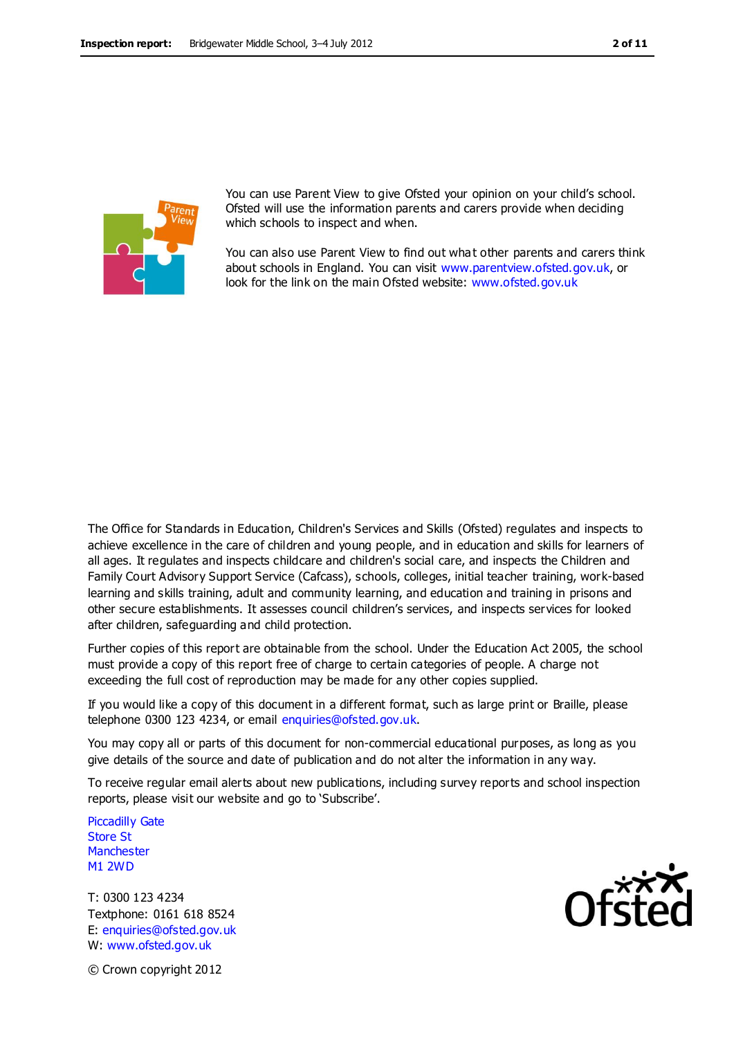

You can use Parent View to give Ofsted your opinion on your child's school. Ofsted will use the information parents and carers provide when deciding which schools to inspect and when.

You can also use Parent View to find out what other parents and carers think about schools in England. You can visit [www.parentview.ofsted.gov.uk,](http://www.parentview.ofsted.gov.uk/) or look for the link on the main Ofsted website: [www.ofsted.gov.uk](http://www.ofsted.gov.uk/)

The Office for Standards in Education, Children's Services and Skills (Ofsted) regulates and inspects to achieve excellence in the care of children and young people, and in education and skills for learners of all ages. It regulates and inspects childcare and children's social care, and inspects the Children and Family Court Advisory Support Service (Cafcass), schools, colleges, initial teacher training, work-based learning and skills training, adult and community learning, and education and training in prisons and other secure establishments. It assesses council children's services, and inspects services for looked after children, safeguarding and child protection.

Further copies of this report are obtainable from the school. Under the Education Act 2005, the school must provide a copy of this report free of charge to certain categories of people. A charge not exceeding the full cost of reproduction may be made for any other copies supplied.

If you would like a copy of this document in a different format, such as large print or Braille, please telephone 0300 123 4234, or email enquiries@ofsted.gov.uk.

You may copy all or parts of this document for non-commercial educational purposes, as long as you give details of the source and date of publication and do not alter the information in any way.

To receive regular email alerts about new publications, including survey reports and school inspection reports, please visit our website and go to 'Subscribe'.

Piccadilly Gate Store St **Manchester** M1 2WD

T: 0300 123 4234 Textphone: 0161 618 8524 E: enquiries@ofsted.gov.uk W: www.ofsted.gov.uk



© Crown copyright 2012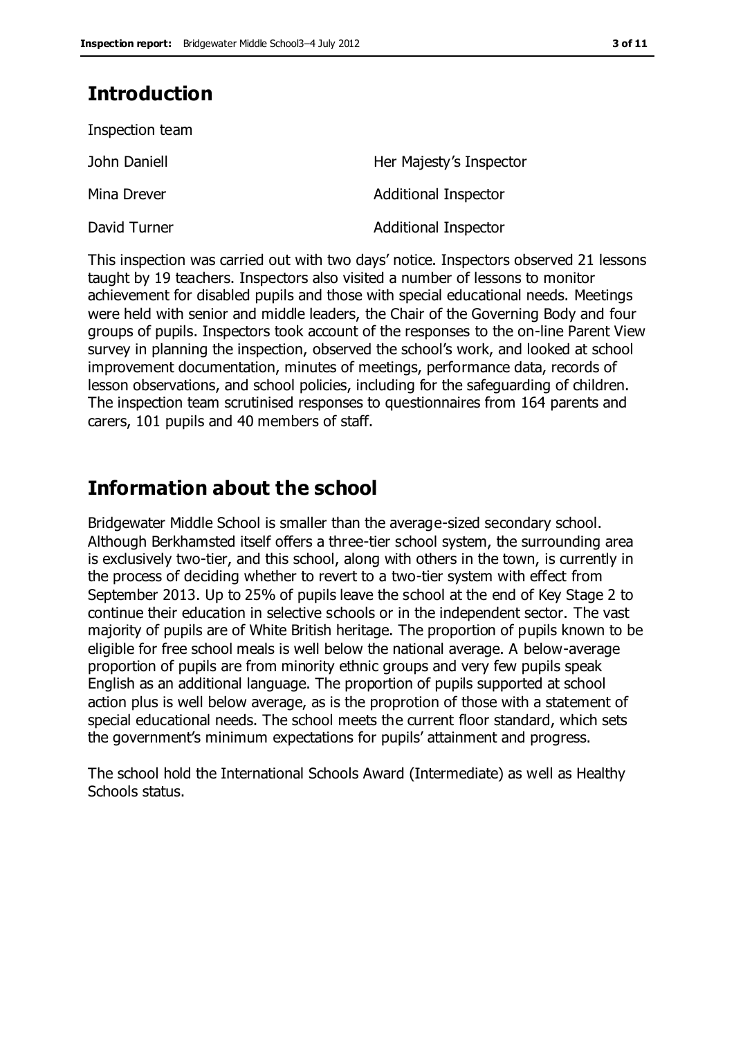# **Introduction**

| Inspection team |                             |
|-----------------|-----------------------------|
| John Daniell    | Her Majesty's Inspector     |
| Mina Drever     | <b>Additional Inspector</b> |
| David Turner    | <b>Additional Inspector</b> |

This inspection was carried out with two days' notice. Inspectors observed 21 lessons taught by 19 teachers. Inspectors also visited a number of lessons to monitor achievement for disabled pupils and those with special educational needs. Meetings were held with senior and middle leaders, the Chair of the Governing Body and four groups of pupils. Inspectors took account of the responses to the on-line Parent View survey in planning the inspection, observed the school's work, and looked at school improvement documentation, minutes of meetings, performance data, records of lesson observations, and school policies, including for the safeguarding of children. The inspection team scrutinised responses to questionnaires from 164 parents and carers, 101 pupils and 40 members of staff.

### **Information about the school**

Bridgewater Middle School is smaller than the average-sized secondary school. Although Berkhamsted itself offers a three-tier school system, the surrounding area is exclusively two-tier, and this school, along with others in the town, is currently in the process of deciding whether to revert to a two-tier system with effect from September 2013. Up to 25% of pupils leave the school at the end of Key Stage 2 to continue their education in selective schools or in the independent sector. The vast majority of pupils are of White British heritage. The proportion of pupils known to be eligible for free school meals is well below the national average. A below-average proportion of pupils are from minority ethnic groups and very few pupils speak English as an additional language. The proportion of pupils supported at school action plus is well below average, as is the proprotion of those with a statement of special educational needs. The school meets the current floor standard, which sets the government's minimum expectations for pupils' attainment and progress.

The school hold the International Schools Award (Intermediate) as well as Healthy Schools status.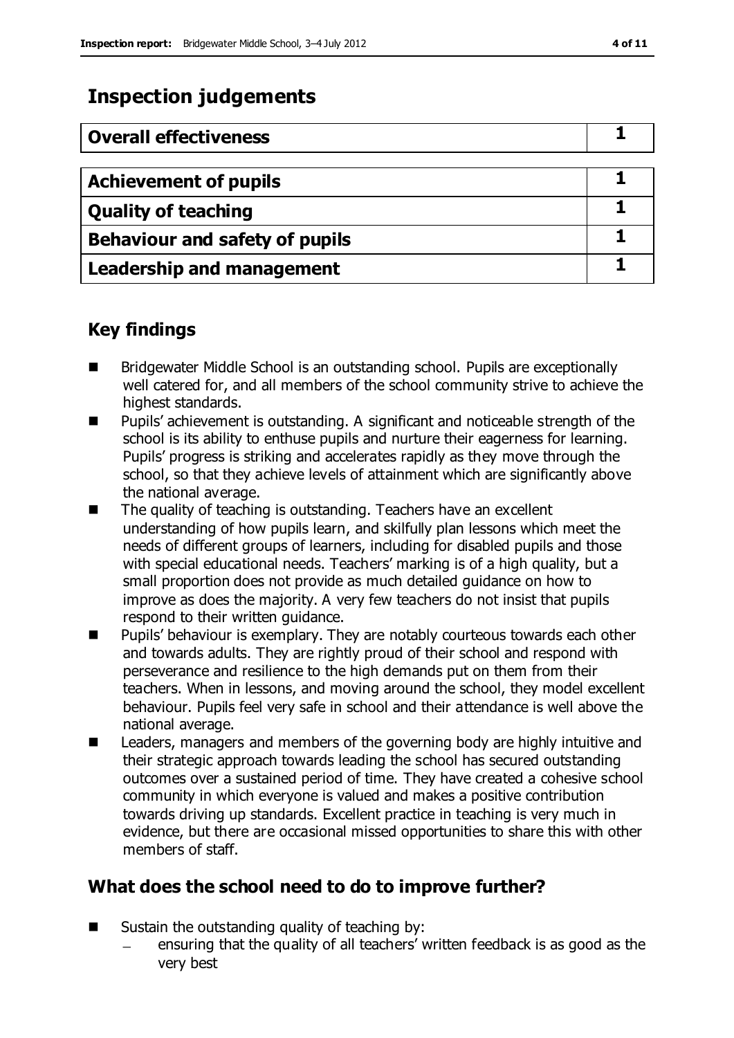# **Inspection judgements**

| <b>Overall effectiveness</b>     |  |
|----------------------------------|--|
|                                  |  |
| <b>Achievement of pupils</b>     |  |
| <b>Quality of teaching</b>       |  |
| Behaviour and safety of pupils   |  |
| <b>Leadership and management</b> |  |

### **Key findings**

- Bridgewater Middle School is an outstanding school. Pupils are exceptionally well catered for, and all members of the school community strive to achieve the highest standards.
- Pupils' achievement is outstanding. A significant and noticeable strength of the school is its ability to enthuse pupils and nurture their eagerness for learning. Pupils' progress is striking and accelerates rapidly as they move through the school, so that they achieve levels of attainment which are significantly above the national average.
- The quality of teaching is outstanding. Teachers have an excellent understanding of how pupils learn, and skilfully plan lessons which meet the needs of different groups of learners, including for disabled pupils and those with special educational needs. Teachers' marking is of a high quality, but a small proportion does not provide as much detailed guidance on how to improve as does the majority. A very few teachers do not insist that pupils respond to their written guidance.
- Pupils' behaviour is exemplary. They are notably courteous towards each other and towards adults. They are rightly proud of their school and respond with perseverance and resilience to the high demands put on them from their teachers. When in lessons, and moving around the school, they model excellent behaviour. Pupils feel very safe in school and their attendance is well above the national average.
- Leaders, managers and members of the governing body are highly intuitive and their strategic approach towards leading the school has secured outstanding outcomes over a sustained period of time. They have created a cohesive school community in which everyone is valued and makes a positive contribution towards driving up standards. Excellent practice in teaching is very much in evidence, but there are occasional missed opportunities to share this with other members of staff.

### **What does the school need to do to improve further?**

- $\blacksquare$  Sustain the outstanding quality of teaching by:
	- ensuring that the quality of all teachers' written feedback is as good as the very best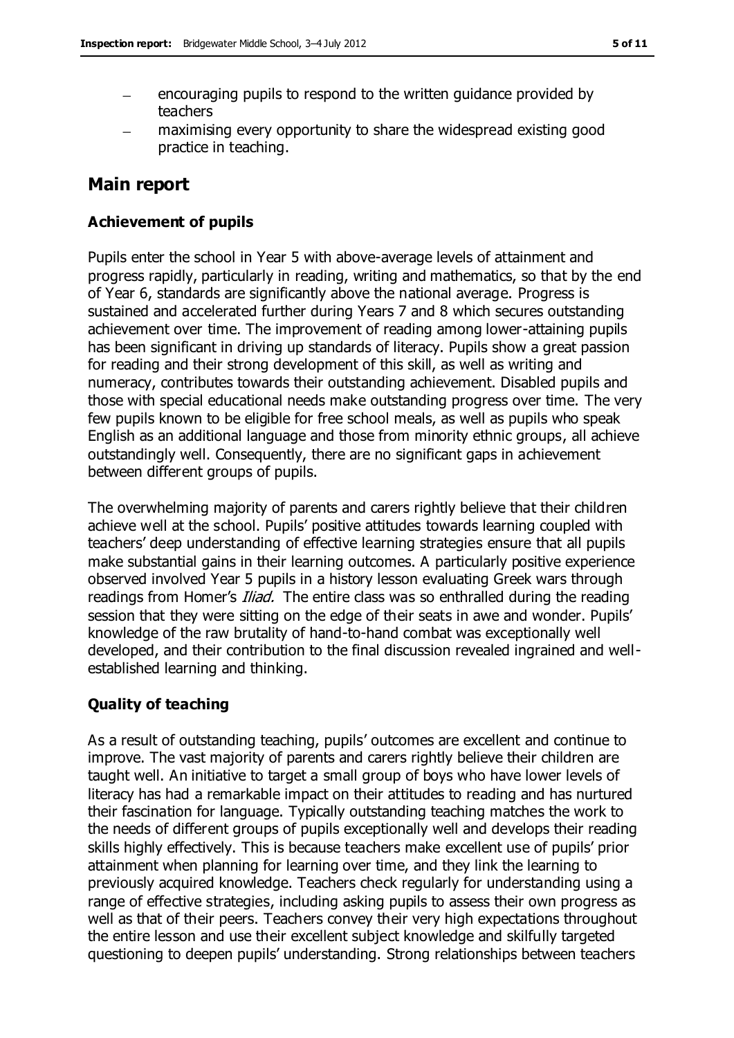- encouraging pupils to respond to the written guidance provided by teachers
- maximising every opportunity to share the widespread existing good practice in teaching.

### **Main report**

#### **Achievement of pupils**

Pupils enter the school in Year 5 with above-average levels of attainment and progress rapidly, particularly in reading, writing and mathematics, so that by the end of Year 6, standards are significantly above the national average. Progress is sustained and accelerated further during Years 7 and 8 which secures outstanding achievement over time. The improvement of reading among lower-attaining pupils has been significant in driving up standards of literacy. Pupils show a great passion for reading and their strong development of this skill, as well as writing and numeracy, contributes towards their outstanding achievement. Disabled pupils and those with special educational needs make outstanding progress over time. The very few pupils known to be eligible for free school meals, as well as pupils who speak English as an additional language and those from minority ethnic groups, all achieve outstandingly well. Consequently, there are no significant gaps in achievement between different groups of pupils.

The overwhelming majority of parents and carers rightly believe that their children achieve well at the school. Pupils' positive attitudes towards learning coupled with teachers' deep understanding of effective learning strategies ensure that all pupils make substantial gains in their learning outcomes. A particularly positive experience observed involved Year 5 pupils in a history lesson evaluating Greek wars through readings from Homer's *Iliad.* The entire class was so enthralled during the reading session that they were sitting on the edge of their seats in awe and wonder. Pupils' knowledge of the raw brutality of hand-to-hand combat was exceptionally well developed, and their contribution to the final discussion revealed ingrained and wellestablished learning and thinking.

#### **Quality of teaching**

As a result of outstanding teaching, pupils' outcomes are excellent and continue to improve. The vast majority of parents and carers rightly believe their children are taught well. An initiative to target a small group of boys who have lower levels of literacy has had a remarkable impact on their attitudes to reading and has nurtured their fascination for language. Typically outstanding teaching matches the work to the needs of different groups of pupils exceptionally well and develops their reading skills highly effectively. This is because teachers make excellent use of pupils' prior attainment when planning for learning over time, and they link the learning to previously acquired knowledge. Teachers check regularly for understanding using a range of effective strategies, including asking pupils to assess their own progress as well as that of their peers. Teachers convey their very high expectations throughout the entire lesson and use their excellent subject knowledge and skilfully targeted questioning to deepen pupils' understanding. Strong relationships between teachers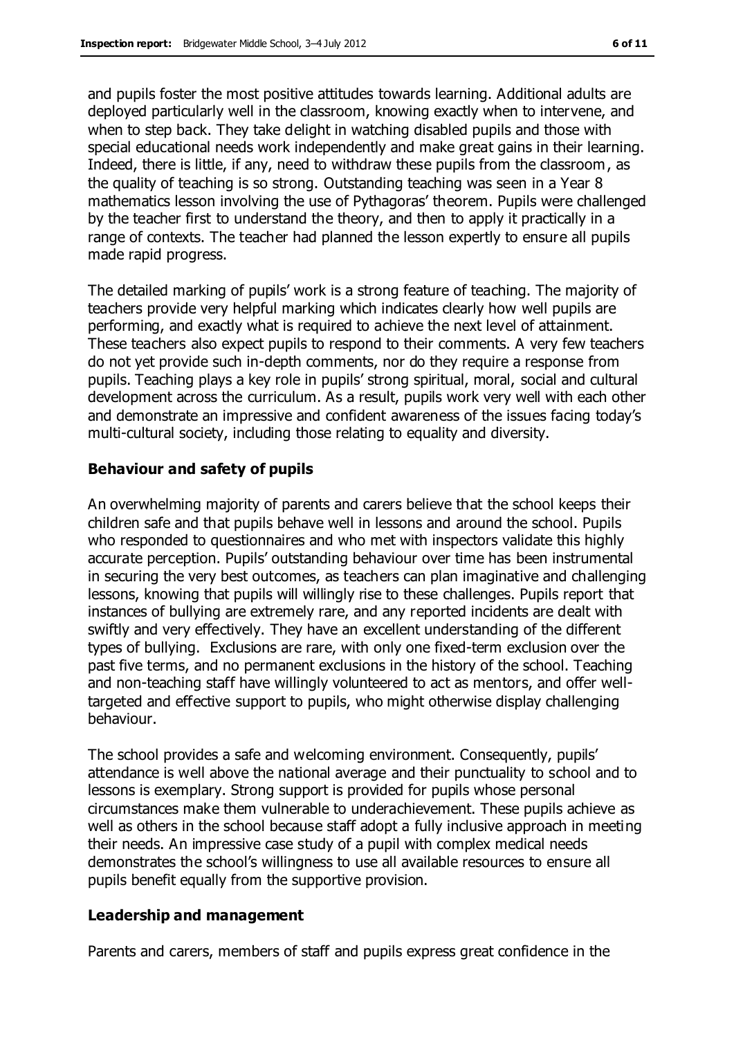and pupils foster the most positive attitudes towards learning. Additional adults are deployed particularly well in the classroom, knowing exactly when to intervene, and when to step back. They take delight in watching disabled pupils and those with special educational needs work independently and make great gains in their learning. Indeed, there is little, if any, need to withdraw these pupils from the classroom, as the quality of teaching is so strong. Outstanding teaching was seen in a Year 8 mathematics lesson involving the use of Pythagoras' theorem. Pupils were challenged by the teacher first to understand the theory, and then to apply it practically in a range of contexts. The teacher had planned the lesson expertly to ensure all pupils made rapid progress.

The detailed marking of pupils' work is a strong feature of teaching. The majority of teachers provide very helpful marking which indicates clearly how well pupils are performing, and exactly what is required to achieve the next level of attainment. These teachers also expect pupils to respond to their comments. A very few teachers do not yet provide such in-depth comments, nor do they require a response from pupils. Teaching plays a key role in pupils' strong spiritual, moral, social and cultural development across the curriculum. As a result, pupils work very well with each other and demonstrate an impressive and confident awareness of the issues facing today's multi-cultural society, including those relating to equality and diversity.

#### **Behaviour and safety of pupils**

An overwhelming majority of parents and carers believe that the school keeps their children safe and that pupils behave well in lessons and around the school. Pupils who responded to questionnaires and who met with inspectors validate this highly accurate perception. Pupils' outstanding behaviour over time has been instrumental in securing the very best outcomes, as teachers can plan imaginative and challenging lessons, knowing that pupils will willingly rise to these challenges. Pupils report that instances of bullying are extremely rare, and any reported incidents are dealt with swiftly and very effectively. They have an excellent understanding of the different types of bullying. Exclusions are rare, with only one fixed-term exclusion over the past five terms, and no permanent exclusions in the history of the school. Teaching and non-teaching staff have willingly volunteered to act as mentors, and offer welltargeted and effective support to pupils, who might otherwise display challenging behaviour.

The school provides a safe and welcoming environment. Consequently, pupils' attendance is well above the national average and their punctuality to school and to lessons is exemplary. Strong support is provided for pupils whose personal circumstances make them vulnerable to underachievement. These pupils achieve as well as others in the school because staff adopt a fully inclusive approach in meeting their needs. An impressive case study of a pupil with complex medical needs demonstrates the school's willingness to use all available resources to ensure all pupils benefit equally from the supportive provision.

#### **Leadership and management**

Parents and carers, members of staff and pupils express great confidence in the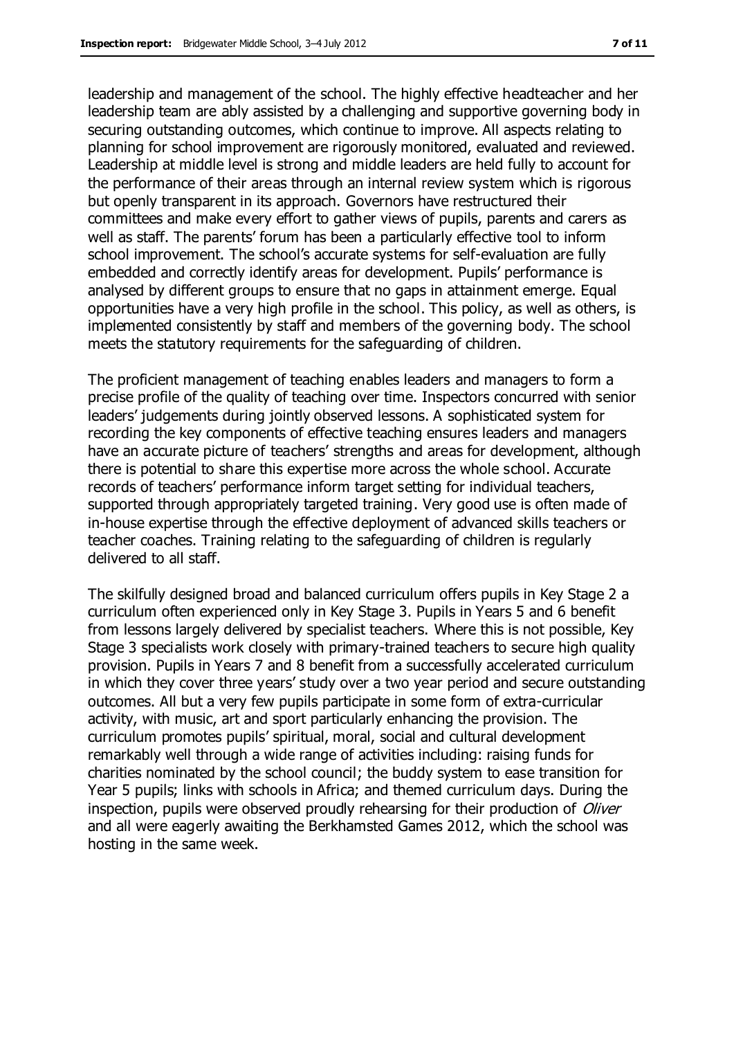leadership and management of the school. The highly effective headteacher and her leadership team are ably assisted by a challenging and supportive governing body in securing outstanding outcomes, which continue to improve. All aspects relating to planning for school improvement are rigorously monitored, evaluated and reviewed. Leadership at middle level is strong and middle leaders are held fully to account for the performance of their areas through an internal review system which is rigorous but openly transparent in its approach. Governors have restructured their committees and make every effort to gather views of pupils, parents and carers as well as staff. The parents' forum has been a particularly effective tool to inform school improvement. The school's accurate systems for self-evaluation are fully embedded and correctly identify areas for development. Pupils' performance is analysed by different groups to ensure that no gaps in attainment emerge. Equal opportunities have a very high profile in the school. This policy, as well as others, is implemented consistently by staff and members of the governing body. The school meets the statutory requirements for the safeguarding of children.

The proficient management of teaching enables leaders and managers to form a precise profile of the quality of teaching over time. Inspectors concurred with senior leaders' judgements during jointly observed lessons. A sophisticated system for recording the key components of effective teaching ensures leaders and managers have an accurate picture of teachers' strengths and areas for development, although there is potential to share this expertise more across the whole school. Accurate records of teachers' performance inform target setting for individual teachers, supported through appropriately targeted training. Very good use is often made of in-house expertise through the effective deployment of advanced skills teachers or teacher coaches. Training relating to the safeguarding of children is regularly delivered to all staff.

The skilfully designed broad and balanced curriculum offers pupils in Key Stage 2 a curriculum often experienced only in Key Stage 3. Pupils in Years 5 and 6 benefit from lessons largely delivered by specialist teachers. Where this is not possible, Key Stage 3 specialists work closely with primary-trained teachers to secure high quality provision. Pupils in Years 7 and 8 benefit from a successfully accelerated curriculum in which they cover three years' study over a two year period and secure outstanding outcomes. All but a very few pupils participate in some form of extra-curricular activity, with music, art and sport particularly enhancing the provision. The curriculum promotes pupils' spiritual, moral, social and cultural development remarkably well through a wide range of activities including: raising funds for charities nominated by the school council; the buddy system to ease transition for Year 5 pupils; links with schools in Africa; and themed curriculum days. During the inspection, pupils were observed proudly rehearsing for their production of *Oliver* and all were eagerly awaiting the Berkhamsted Games 2012, which the school was hosting in the same week.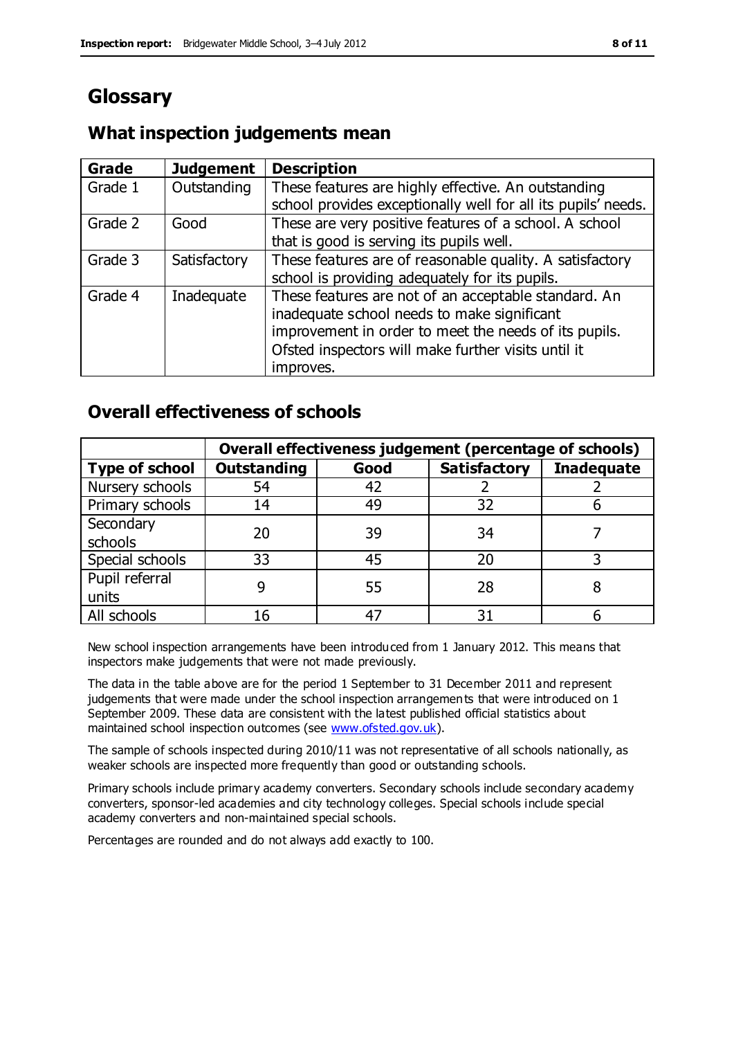# **Glossary**

### **What inspection judgements mean**

| <b>Grade</b> | <b>Judgement</b> | <b>Description</b>                                            |
|--------------|------------------|---------------------------------------------------------------|
| Grade 1      | Outstanding      | These features are highly effective. An outstanding           |
|              |                  | school provides exceptionally well for all its pupils' needs. |
| Grade 2      | Good             | These are very positive features of a school. A school        |
|              |                  | that is good is serving its pupils well.                      |
| Grade 3      | Satisfactory     | These features are of reasonable quality. A satisfactory      |
|              |                  | school is providing adequately for its pupils.                |
| Grade 4      | Inadequate       | These features are not of an acceptable standard. An          |
|              |                  | inadequate school needs to make significant                   |
|              |                  | improvement in order to meet the needs of its pupils.         |
|              |                  | Ofsted inspectors will make further visits until it           |
|              |                  | improves.                                                     |

### **Overall effectiveness of schools**

|                       | Overall effectiveness judgement (percentage of schools) |      |                     |                   |
|-----------------------|---------------------------------------------------------|------|---------------------|-------------------|
| <b>Type of school</b> | <b>Outstanding</b>                                      | Good | <b>Satisfactory</b> | <b>Inadequate</b> |
| Nursery schools       | 54                                                      | 42   |                     |                   |
| Primary schools       | 14                                                      | 49   | 32                  |                   |
| Secondary             | 20                                                      | 39   | 34                  |                   |
| schools               |                                                         |      |                     |                   |
| Special schools       | 33                                                      | 45   | 20                  |                   |
| Pupil referral        |                                                         | 55   | 28                  |                   |
| units                 |                                                         |      |                     |                   |
| All schools           | 16                                                      | 47   | 31                  |                   |

New school inspection arrangements have been introduced from 1 January 2012. This means that inspectors make judgements that were not made previously.

The data in the table above are for the period 1 September to 31 December 2011 and represent judgements that were made under the school inspection arrangements that were introduced on 1 September 2009. These data are consistent with the latest published official statistics about maintained school inspection outcomes (see [www.ofsted.gov.uk\)](http://www.ofsted.gov.uk/).

The sample of schools inspected during 2010/11 was not representative of all schools nationally, as weaker schools are inspected more frequently than good or outstanding schools.

Primary schools include primary academy converters. Secondary schools include secondary academy converters, sponsor-led academies and city technology colleges. Special schools include special academy converters and non-maintained special schools.

Percentages are rounded and do not always add exactly to 100.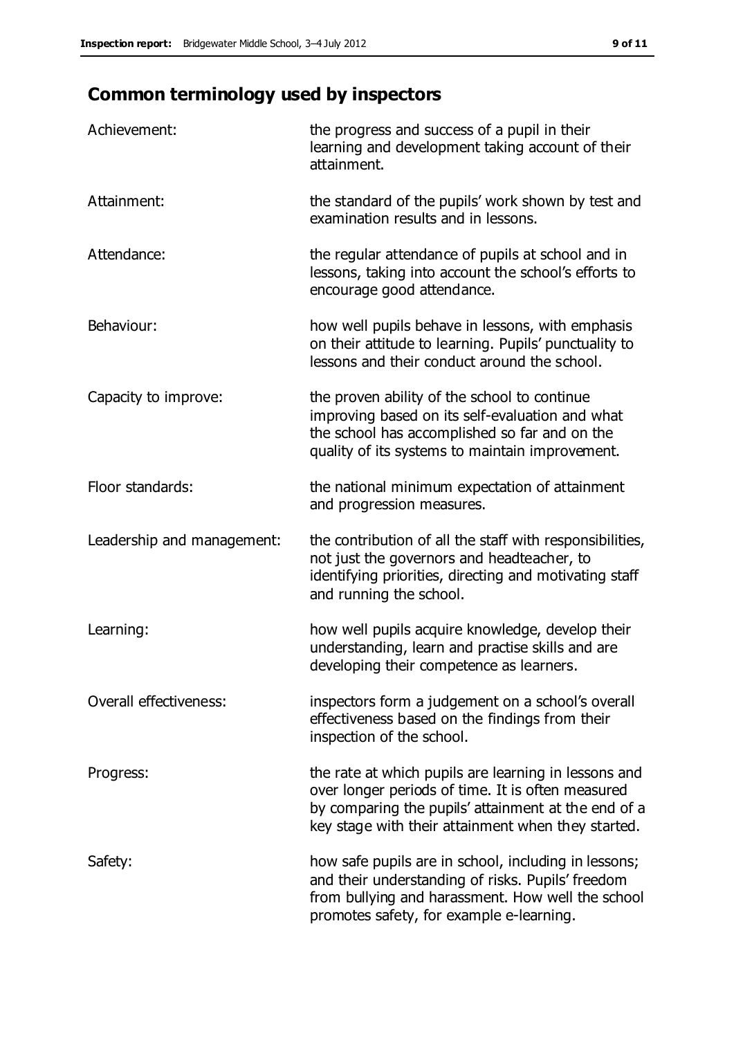# **Common terminology used by inspectors**

| Achievement:               | the progress and success of a pupil in their<br>learning and development taking account of their<br>attainment.                                                                                                        |
|----------------------------|------------------------------------------------------------------------------------------------------------------------------------------------------------------------------------------------------------------------|
| Attainment:                | the standard of the pupils' work shown by test and<br>examination results and in lessons.                                                                                                                              |
| Attendance:                | the regular attendance of pupils at school and in<br>lessons, taking into account the school's efforts to<br>encourage good attendance.                                                                                |
| Behaviour:                 | how well pupils behave in lessons, with emphasis<br>on their attitude to learning. Pupils' punctuality to<br>lessons and their conduct around the school.                                                              |
| Capacity to improve:       | the proven ability of the school to continue<br>improving based on its self-evaluation and what<br>the school has accomplished so far and on the<br>quality of its systems to maintain improvement.                    |
| Floor standards:           | the national minimum expectation of attainment<br>and progression measures.                                                                                                                                            |
| Leadership and management: | the contribution of all the staff with responsibilities,<br>not just the governors and headteacher, to<br>identifying priorities, directing and motivating staff<br>and running the school.                            |
| Learning:                  | how well pupils acquire knowledge, develop their<br>understanding, learn and practise skills and are<br>developing their competence as learners.                                                                       |
| Overall effectiveness:     | inspectors form a judgement on a school's overall<br>effectiveness based on the findings from their<br>inspection of the school.                                                                                       |
| Progress:                  | the rate at which pupils are learning in lessons and<br>over longer periods of time. It is often measured<br>by comparing the pupils' attainment at the end of a<br>key stage with their attainment when they started. |
| Safety:                    | how safe pupils are in school, including in lessons;<br>and their understanding of risks. Pupils' freedom<br>from bullying and harassment. How well the school<br>promotes safety, for example e-learning.             |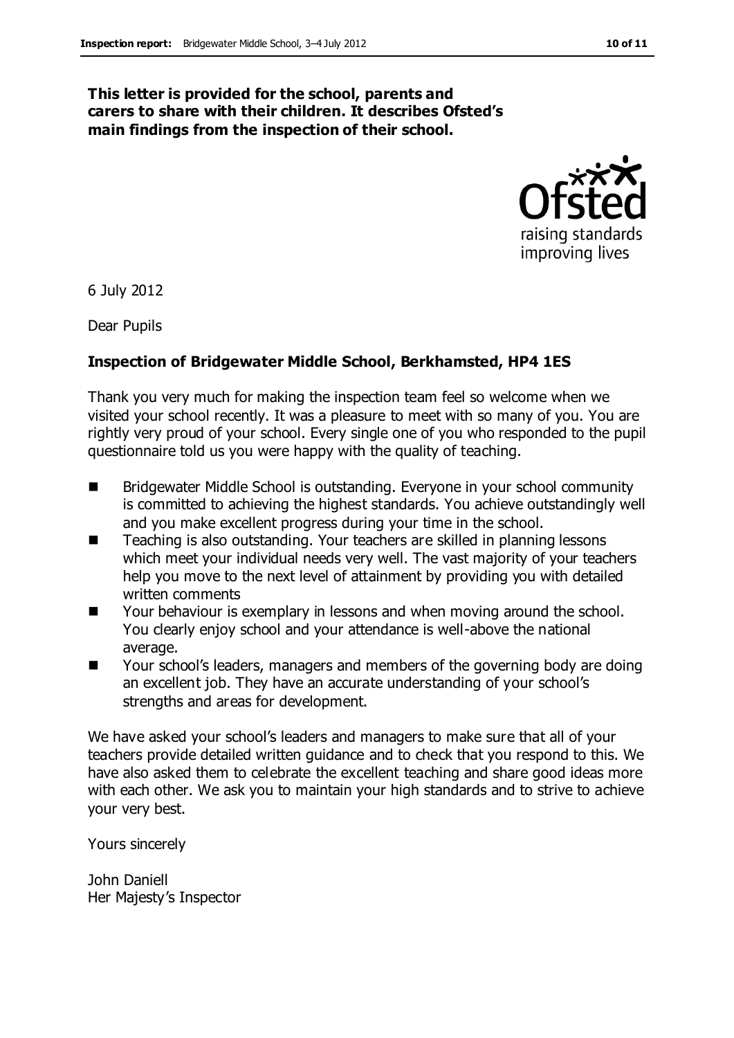#### **This letter is provided for the school, parents and carers to share with their children. It describes Ofsted's main findings from the inspection of their school.**



6 July 2012

Dear Pupils

#### **Inspection of Bridgewater Middle School, Berkhamsted, HP4 1ES**

Thank you very much for making the inspection team feel so welcome when we visited your school recently. It was a pleasure to meet with so many of you. You are rightly very proud of your school. Every single one of you who responded to the pupil questionnaire told us you were happy with the quality of teaching.

- Bridgewater Middle School is outstanding. Everyone in your school community is committed to achieving the highest standards. You achieve outstandingly well and you make excellent progress during your time in the school.
- Teaching is also outstanding. Your teachers are skilled in planning lessons which meet your individual needs very well. The vast majority of your teachers help you move to the next level of attainment by providing you with detailed written comments
- Your behaviour is exemplary in lessons and when moving around the school. You clearly enjoy school and your attendance is well-above the national average.
- Your school's leaders, managers and members of the governing body are doing an excellent job. They have an accurate understanding of your school's strengths and areas for development.

We have asked your school's leaders and managers to make sure that all of your teachers provide detailed written guidance and to check that you respond to this. We have also asked them to celebrate the excellent teaching and share good ideas more with each other. We ask you to maintain your high standards and to strive to achieve your very best.

Yours sincerely

John Daniell Her Majesty's Inspector